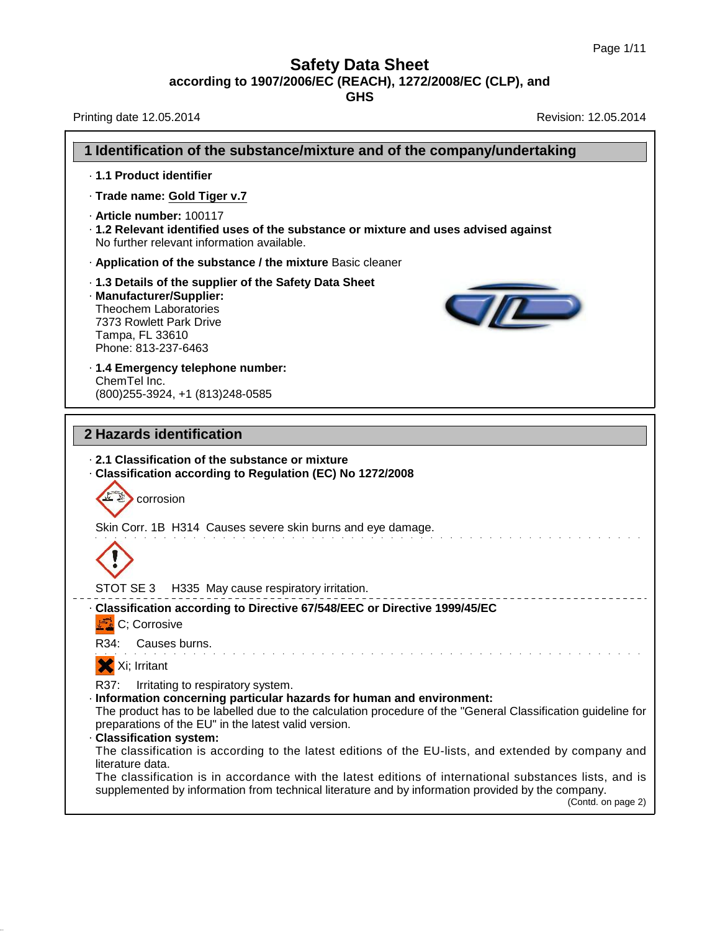**GHS**

Printing date 12.05.2014 **Revision: 12.05.2014** Revision: 12.05.2014

38.0.33

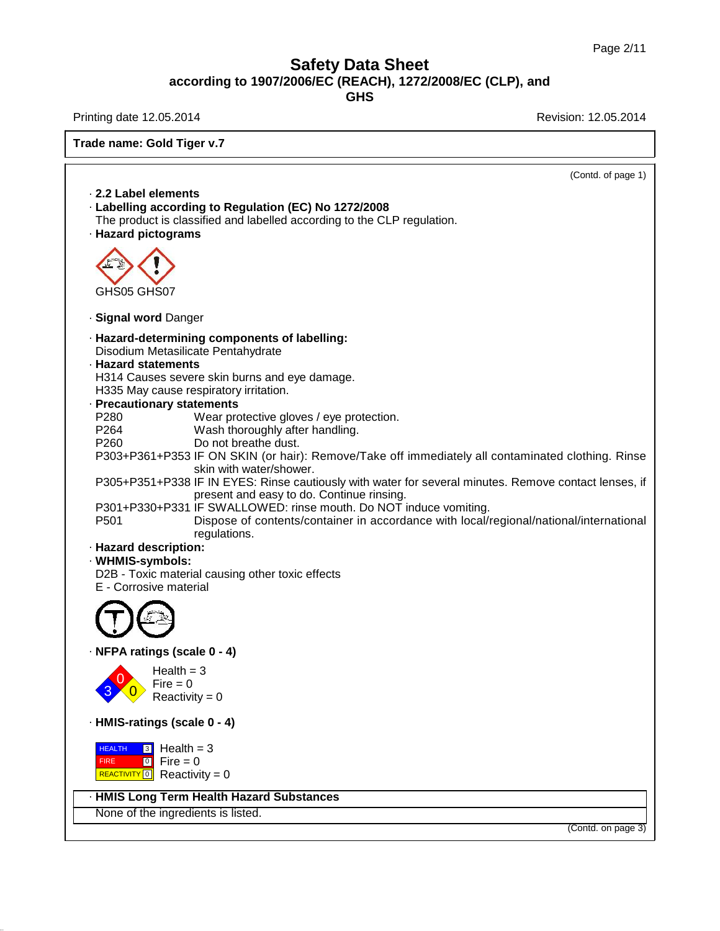38.0.33

Printing date 12.05.2014 **Revision: 12.05.2014** 

| Trade name: Gold Tiger v.7                                                                                                                                                                                                                                                                                                                                                                                                                                                                                                                                                                                                                                                                                                                                                                                                                                                                                                                       |  |  |
|--------------------------------------------------------------------------------------------------------------------------------------------------------------------------------------------------------------------------------------------------------------------------------------------------------------------------------------------------------------------------------------------------------------------------------------------------------------------------------------------------------------------------------------------------------------------------------------------------------------------------------------------------------------------------------------------------------------------------------------------------------------------------------------------------------------------------------------------------------------------------------------------------------------------------------------------------|--|--|
| (Contd. of page 1)                                                                                                                                                                                                                                                                                                                                                                                                                                                                                                                                                                                                                                                                                                                                                                                                                                                                                                                               |  |  |
| 2.2 Label elements<br>· Labelling according to Regulation (EC) No 1272/2008<br>The product is classified and labelled according to the CLP regulation.<br>· Hazard pictograms                                                                                                                                                                                                                                                                                                                                                                                                                                                                                                                                                                                                                                                                                                                                                                    |  |  |
| GHS05 GHS07                                                                                                                                                                                                                                                                                                                                                                                                                                                                                                                                                                                                                                                                                                                                                                                                                                                                                                                                      |  |  |
| · Signal word Danger                                                                                                                                                                                                                                                                                                                                                                                                                                                                                                                                                                                                                                                                                                                                                                                                                                                                                                                             |  |  |
| · Hazard-determining components of labelling:<br>Disodium Metasilicate Pentahydrate<br>· Hazard statements<br>H314 Causes severe skin burns and eye damage.<br>H335 May cause respiratory irritation.<br>· Precautionary statements<br>P280<br>Wear protective gloves / eye protection.<br>P264<br>Wash thoroughly after handling.<br>P260<br>Do not breathe dust.<br>P303+P361+P353 IF ON SKIN (or hair): Remove/Take off immediately all contaminated clothing. Rinse<br>skin with water/shower.<br>P305+P351+P338 IF IN EYES: Rinse cautiously with water for several minutes. Remove contact lenses, if<br>present and easy to do. Continue rinsing.<br>P301+P330+P331 IF SWALLOWED: rinse mouth. Do NOT induce vomiting.<br>P501<br>Dispose of contents/container in accordance with local/regional/national/international<br>regulations.<br>· Hazard description:<br>· WHMIS-symbols:<br>D2B - Toxic material causing other toxic effects |  |  |
| E - Corrosive material                                                                                                                                                                                                                                                                                                                                                                                                                                                                                                                                                                                                                                                                                                                                                                                                                                                                                                                           |  |  |
| · NFPA ratings (scale 0 - 4)<br>$Health = 3$<br>$Fire = 0$<br>Reactivity = $0$                                                                                                                                                                                                                                                                                                                                                                                                                                                                                                                                                                                                                                                                                                                                                                                                                                                                   |  |  |
| · HMIS-ratings (scale 0 - 4)                                                                                                                                                                                                                                                                                                                                                                                                                                                                                                                                                                                                                                                                                                                                                                                                                                                                                                                     |  |  |
| $3$ Health = 3<br><b>HEALTH</b><br>$\boxed{0}$ Fire = 0<br><b>FIRE</b><br>REACTIVITY 0 Reactivity = 0                                                                                                                                                                                                                                                                                                                                                                                                                                                                                                                                                                                                                                                                                                                                                                                                                                            |  |  |
| · HMIS Long Term Health Hazard Substances                                                                                                                                                                                                                                                                                                                                                                                                                                                                                                                                                                                                                                                                                                                                                                                                                                                                                                        |  |  |
| None of the ingredients is listed.                                                                                                                                                                                                                                                                                                                                                                                                                                                                                                                                                                                                                                                                                                                                                                                                                                                                                                               |  |  |
| (Contd. on page 3)                                                                                                                                                                                                                                                                                                                                                                                                                                                                                                                                                                                                                                                                                                                                                                                                                                                                                                                               |  |  |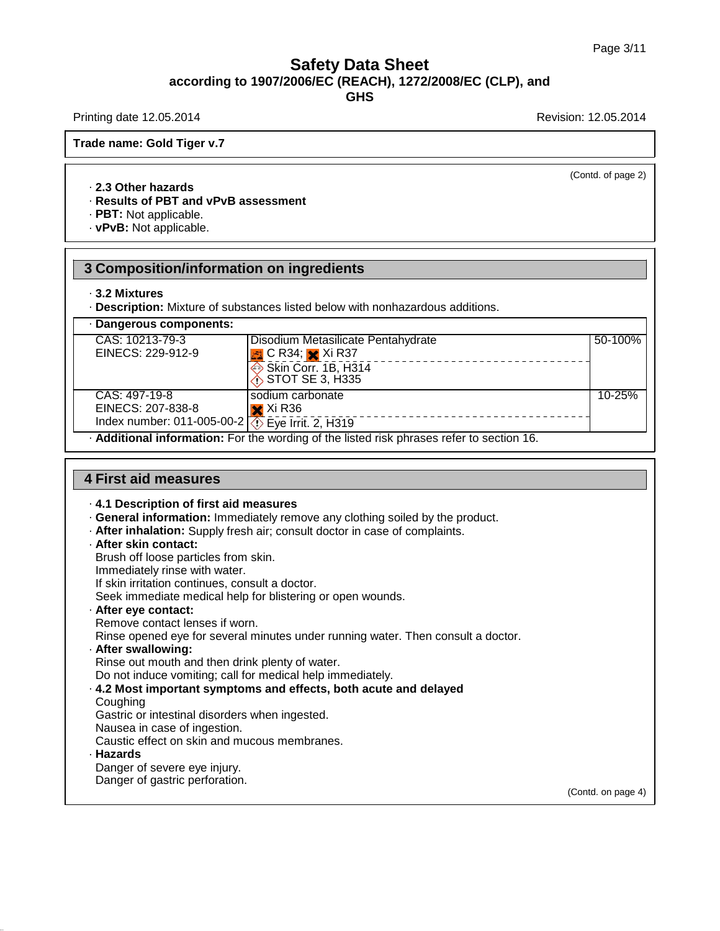(Contd. of page 2)

Printing date 12.05.2014 **Printing date 12.05.2014** 

**Trade name: Gold Tiger v.7**

### · **2.3 Other hazards**

### · **Results of PBT and vPvB assessment**

· **PBT:** Not applicable.

· **vPvB:** Not applicable.

# **3 Composition/information on ingredients**

### · **3.2 Mixtures**

· **Description:** Mixture of substances listed below with nonhazardous additions.

| Dangerous components:                                                                          |                                      |         |  |
|------------------------------------------------------------------------------------------------|--------------------------------------|---------|--|
| CAS: 10213-79-3                                                                                | Disodium Metasilicate Pentahydrate   | 50-100% |  |
| EINECS: 229-912-9                                                                              | $\frac{1}{2}$ C R34; $\times$ Xi R37 |         |  |
|                                                                                                | Skin Corr. 1B, H314                  |         |  |
|                                                                                                | $\diamondsuit$ STOT SE 3, H335       |         |  |
| CAS: 497-19-8                                                                                  | sodium carbonate                     | 10-25%  |  |
| EINECS: 207-838-8                                                                              | $\mathsf{\times}$ Xi R36             |         |  |
| Index number: 011-005-00-2 $\sqrt{5}$ Eye Irrit. 2, H319                                       |                                      |         |  |
| <b>Additional information:</b> For the wording of the listed risk phrases refer to section 16. |                                      |         |  |

### **4 First aid measures**

· **4.1 Description of first aid measures**

- · **General information:** Immediately remove any clothing soiled by the product.
- · **After inhalation:** Supply fresh air; consult doctor in case of complaints.
- · **After skin contact:**
- Brush off loose particles from skin.
- Immediately rinse with water.

If skin irritation continues, consult a doctor.

- Seek immediate medical help for blistering or open wounds.
- · **After eye contact:**
- Remove contact lenses if worn.

Rinse opened eye for several minutes under running water. Then consult a doctor.

· **After swallowing:**

Rinse out mouth and then drink plenty of water.

Do not induce vomiting; call for medical help immediately.

- · **4.2 Most important symptoms and effects, both acute and delayed**
- **Coughing**

Gastric or intestinal disorders when ingested.

- Nausea in case of ingestion.
- Caustic effect on skin and mucous membranes.

### · **Hazards**

38.0.33

Danger of severe eye injury.

Danger of gastric perforation.

(Contd. on page 4)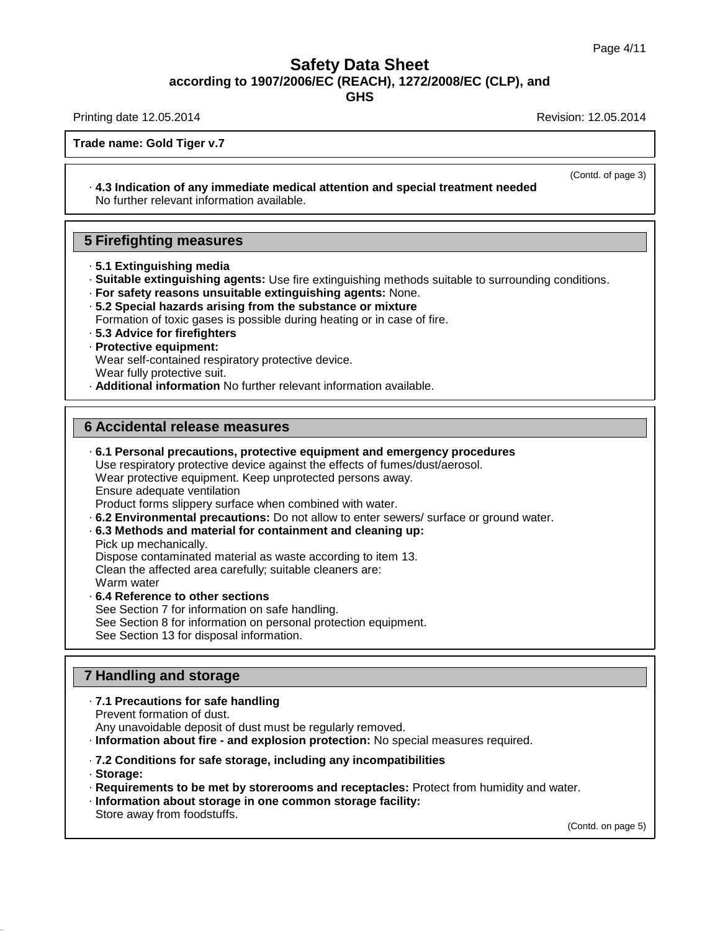**GHS**

Printing date 12.05.2014 **Revision: 12.05.2014** Revision: 12.05.2014

(Contd. of page 3)

**Trade name: Gold Tiger v.7**

· **4.3 Indication of any immediate medical attention and special treatment needed** No further relevant information available.

## **5 Firefighting measures**

- · **5.1 Extinguishing media**
- · **Suitable extinguishing agents:** Use fire extinguishing methods suitable to surrounding conditions.
- · **For safety reasons unsuitable extinguishing agents:** None.
- · **5.2 Special hazards arising from the substance ormixture**
- Formation of toxic gases is possible during heating or in case of fire.
- · **5.3 Advice for firefighters**
- · **Protective equipment:**
- Wear self-contained respiratory protective device.
- Wear fully protective suit.

· **Additional information** No further relevant information available.

## **6 Accidental release measures**

- · **6.1 Personal precautions, protective equipment and emergency procedures** Use respiratory protective device against the effects of fumes/dust/aerosol. Wear protective equipment. Keep unprotected persons away. Ensure adequate ventilation Product forms slippery surface when combined with water. · **6.2 Environmental precautions:** Do not allow to enter sewers/ surface or ground water.
- · **6.3 Methods and material for containment and cleaning up:** Pick up mechanically. Dispose contaminated material as waste according to item 13. Clean the affected area carefully; suitable cleaners are: Warm water · **6.4 Reference to other sections**
- See Section 7 for information on safe handling. See Section 8 for information on personal protection equipment. See Section 13 for disposal information.

# **7 Handling and storage**

- · **7.1 Precautions for safe handling**
- Prevent formation of dust.
- Any unavoidable deposit of dust must be regularly removed.
- · **Information about fire - and explosion protection:** No special measures required.
- · **7.2 Conditions for safe storage, including any incompatibilities**
- · **Storage:**

38.0.33

- · **Requirements to be met by storerooms and receptacles:** Protect from humidity and water.
- · **Information about storage in one common storage facility:** Store away from foodstuffs.

(Contd. on page 5)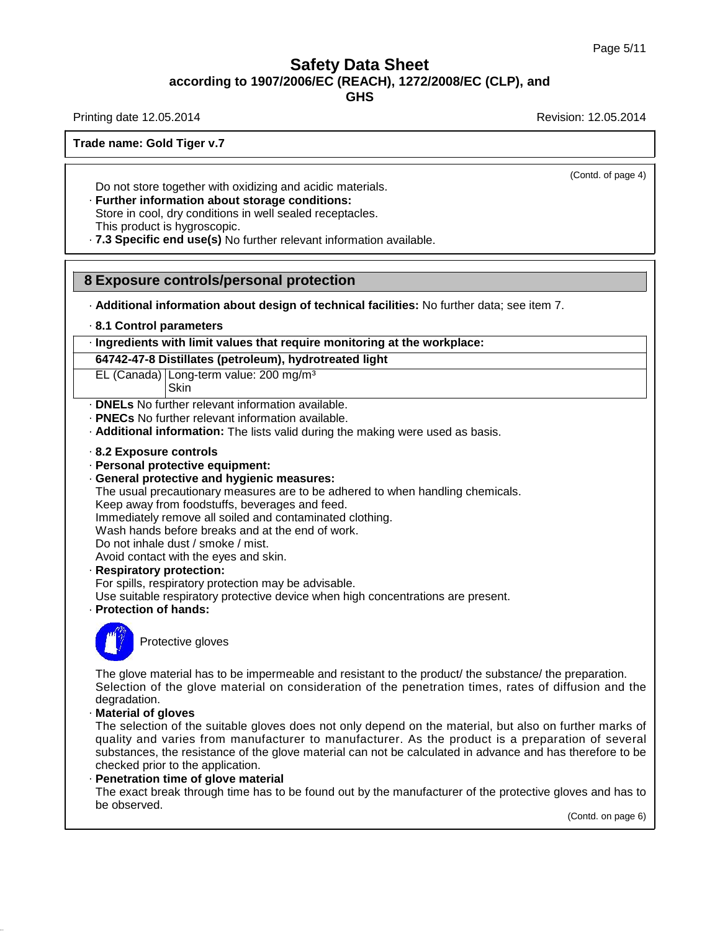**GHS**

Printing date 12.05.2014 **Revision: 12.05.2014** Revision: 12.05.2014

(Contd. of page 4)

**Trade name: Gold Tiger v.7**

Do not store together with oxidizing and acidic materials.

· **Further information about storage conditions:** Store in cool, dry conditions in well sealed receptacles. This product is hygroscopic.

· **7.3 Specific end use(s)** No further relevant information available.

## **8 Exposure controls/personal protection**

· **Additional information about design of technical facilities:** No further data; see item 7.

· **8.1 Control parameters**

### · **Ingredients with limit values that require monitoring at the workplace:**

**64742-47-8 Distillates (petroleum), hydrotreated light**

EL (Canada) Long-term value: 200 mg/m³ Skin

- · **DNELs** No further relevant information available.
- · **PNECs** No further relevant information available.
- · **Additional information:** The lists valid during the making were used as basis.
- · **8.2 Exposure controls**
- · **Personal protective equipment:**
- · **General protective and hygienic measures:**

The usual precautionary measures are to be adhered to when handling chemicals.

Keep away from foodstuffs, beverages and feed.

Immediately remove all soiled and contaminated clothing.

Wash hands before breaks and at the end of work.

Do not inhale dust / smoke / mist. Avoid contact with the eyes and skin.

· **Respiratory protection:**

For spills, respiratory protection may be advisable.

Use suitable respiratory protective device when high concentrations are present.

· **Protection of hands:**



38.0.33

Protective gloves

The glove material has to be impermeable and resistant to the product/ the substance/ the preparation. Selection of the glove material on consideration of the penetration times, rates of diffusion and the degradation.

· **Material of gloves**

The selection of the suitable gloves does not only depend on the material, but also on further marks of quality and varies from manufacturer to manufacturer. As the product is a preparation of several substances, the resistance of the glove material can not be calculated in advance and has therefore to be checked prior to the application.

### · **Penetration time of glove material**

The exact break through time has to be found out by the manufacturer of the protective gloves and has to be observed.

(Contd. on page 6)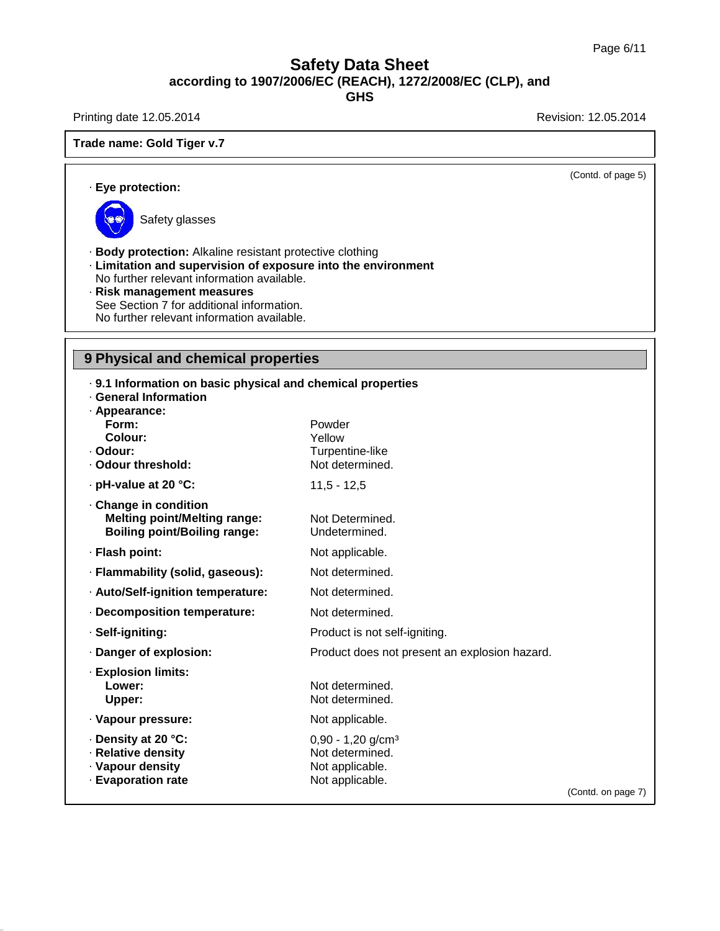Printing date 12.05.2014 **Revision: 12.05.2014** 

## **Trade name: Gold Tiger v.7**

(Contd. of page 5)

### · **Eye protection:**



38.0.33

Safety glasses

· **Body protection:** Alkaline resistant protective clothing

- · **Limitation and supervision of exposure into the environment**
- No further relevant information available.
- · **Risk management measures** See Section 7 for additional information. No further relevant information available.

# **9 Physical and chemical properties**

| . 9.1 Information on basic physical and chemical properties<br>· General Information |                                               |                    |  |  |
|--------------------------------------------------------------------------------------|-----------------------------------------------|--------------------|--|--|
| · Appearance:                                                                        |                                               |                    |  |  |
| Form:                                                                                | Powder                                        |                    |  |  |
| Colour:                                                                              | Yellow                                        |                    |  |  |
| · Odour:<br>· Odour threshold:                                                       | Turpentine-like<br>Not determined.            |                    |  |  |
| · pH-value at 20 °C:                                                                 | $11,5 - 12,5$                                 |                    |  |  |
| Change in condition                                                                  |                                               |                    |  |  |
| <b>Melting point/Melting range:</b><br><b>Boiling point/Boiling range:</b>           | Not Determined.<br>Undetermined.              |                    |  |  |
| · Flash point:                                                                       | Not applicable.                               |                    |  |  |
| · Flammability (solid, gaseous):                                                     | Not determined.                               |                    |  |  |
| · Auto/Self-ignition temperature:                                                    | Not determined.                               |                    |  |  |
| · Decomposition temperature:                                                         | Not determined.                               |                    |  |  |
| · Self-igniting:                                                                     | Product is not self-igniting.                 |                    |  |  |
| · Danger of explosion:                                                               | Product does not present an explosion hazard. |                    |  |  |
| · Explosion limits:                                                                  |                                               |                    |  |  |
| Lower:                                                                               | Not determined.                               |                    |  |  |
| Upper:                                                                               | Not determined.                               |                    |  |  |
| · Vapour pressure:                                                                   | Not applicable.                               |                    |  |  |
| · Density at 20 °C:                                                                  | $0,90 - 1,20$ g/cm <sup>3</sup>               |                    |  |  |
| · Relative density                                                                   | Not determined.                               |                    |  |  |
| · Vapour density                                                                     | Not applicable.                               |                    |  |  |
| · Evaporation rate                                                                   | Not applicable.                               | (Contd. on page 7) |  |  |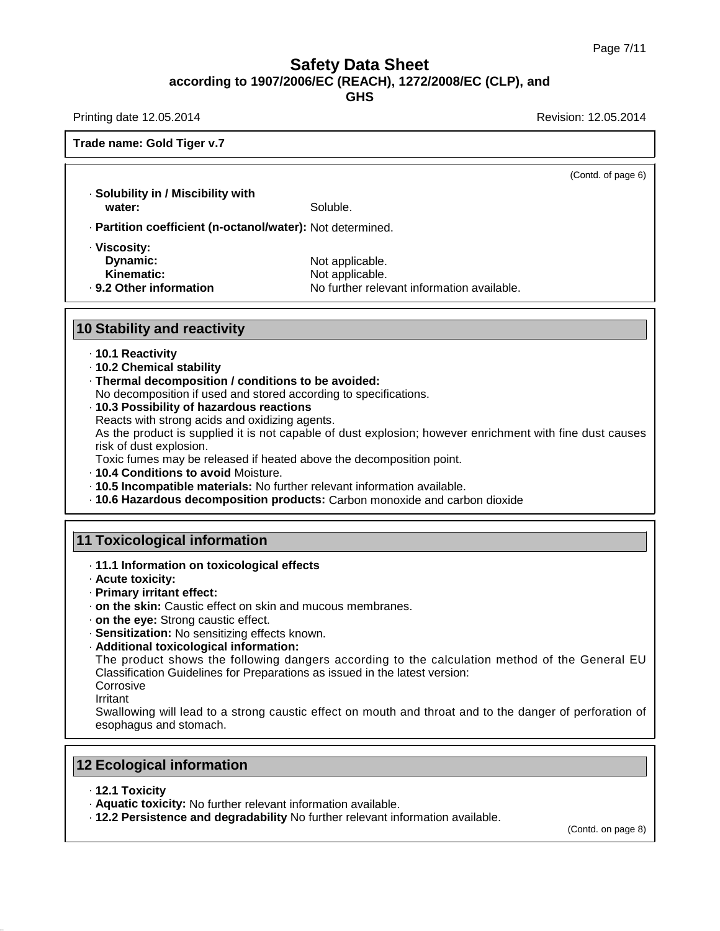**GHS**

Printing date 12.05.2014 **Revision: 12.05.2014** Revision: 12.05.2014

(Contd. of page 6)

### **Trade name: Gold Tiger v.7**

· **Solubility in / Miscibility with** Soluble. · **Partition coefficient (n-octanol/water):** Not determined. · **Viscosity:**

**Dynamic:** Not applicable.<br> **Kinematic:** Not applicable.

**Kinematic:** Not applicable.<br> **Rep. 9.2 Other information** No further relev · **9.2 Other information** No further relevant information available.

### **10 Stability and reactivity**

### · **10.1 Reactivity**

- · **10.2 Chemical stability**
- · **Thermal decomposition / conditions to be avoided:**
- No decomposition if used and stored according to specifications.
- · **10.3 Possibility of hazardous reactions**
- Reacts with strong acids and oxidizing agents.

As the product is supplied it is not capable of dust explosion; however enrichment with fine dust causes risk of dust explosion.

Toxic fumes may be released if heated above the decomposition point.

- · **10.4 Conditions to avoid** Moisture.
- · **10.5 Incompatible materials:** No further relevant information available.
- · **10.6 Hazardous decomposition products:** Carbon monoxide and carbon dioxide

## **11 Toxicological information**

- · **11.1 Information on toxicological effects**
- · **Acute toxicity:**
- · **Primary irritant effect:**
- · **on the skin:** Caustic effect on skin and mucous membranes.
- · **on the eye:** Strong caustic effect.
- · **Sensitization:** No sensitizing effects known.
- · **Additional toxicological information:**

The product shows the following dangers according to the calculation method of the General EU Classification Guidelines for Preparations as issued in the latest version:

**Corrosive** 

Irritant

Swallowing will lead to a strong caustic effect on mouth and throat and to the danger of perforation of esophagus and stomach.

## **12 Ecological information**

· **12.1 Toxicity**

38.0.33

- · **Aquatic toxicity:** No further relevant information available.
- · **12.2 Persistence and degradability** No further relevant information available.

(Contd. on page 8)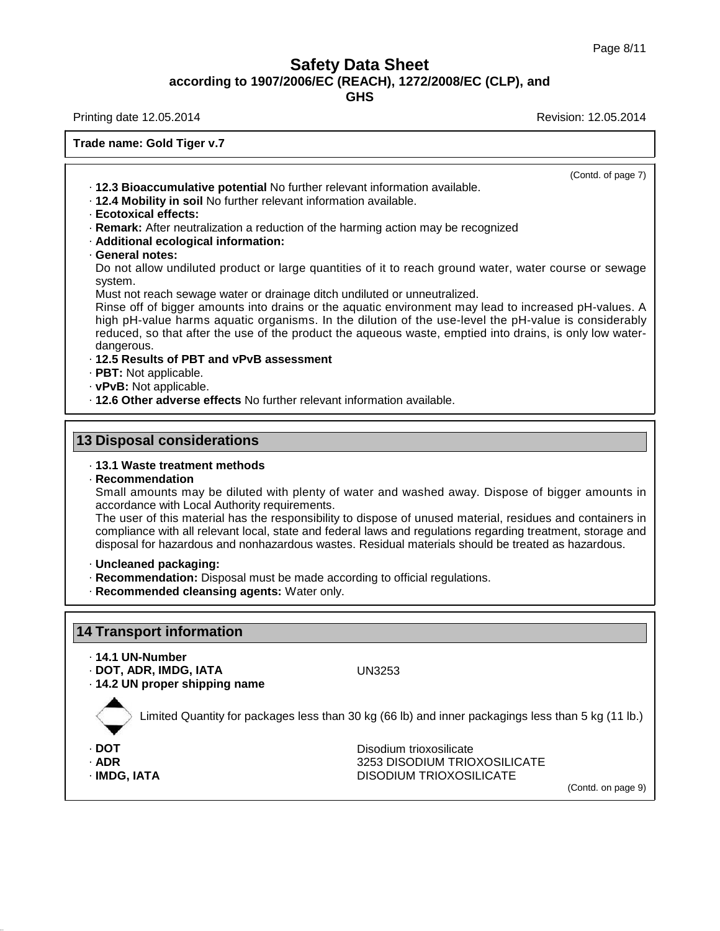**GHS**

Printing date 12.05.2014 **Revision: 12.05.2014** Revision: 12.05.2014

**Trade name: Gold Tiger v.7**

(Contd. of page 7)

· **12.3 Bioaccumulative potential** No further relevant information available.

- · **12.4 Mobility in soil** No further relevant information available.
- · **Ecotoxical effects:**
- · **Remark:** After neutralization a reduction of the harming action may be recognized
- · **Additional ecological information:**
- · **General notes:**

Do not allow undiluted product or large quantities of it to reach ground water, water course or sewage system.

Must not reach sewage water or drainage ditch undiluted or unneutralized.

Rinse off of bigger amounts into drains or the aquatic environment may lead to increased pH-values. A high pH-value harms aquatic organisms. In the dilution of the use-level the pH-value is considerably reduced, so that after the use of the product the aqueous waste, emptied into drains, is only low water dangerous.

- · **12.5 Results of PBT and vPvB assessment**
- · **PBT:** Not applicable.
- · **vPvB:** Not applicable.
- · **12.6 Other adverse effects** No further relevant information available.

# **13 Disposal considerations**

### · **13.1 Waste treatment methods**

· **Recommendation**

Small amounts may be diluted with plenty of water and washed away. Dispose of bigger amounts in accordance with Local Authority requirements.

The user of this material has the responsibility to dispose of unused material, residues and containers in compliance with all relevant local, state and federal laws and regulations regarding treatment, storage and disposal for hazardous and nonhazardous wastes. Residual materials should be treated as hazardous.

- · **Uncleaned packaging:**
- · **Recommendation:** Disposal must be made according to official regulations.
- · **Recommended cleansing agents:** Water only.

# **14 Transport information**

· **14.1 UN-Number**

· **DOT, ADR, IMDG, IATA** UN3253

· **14.2 UN proper shipping name**

Limited Quantity for packages less than 30 kg (66 lb) and inner packagings less than 5 kg (11 lb.)

38.0.33

- 
- 

· **DOT** Disodium trioxosilicate **3253 DISODIUM TRIOXOSILICATE** · **IMDG, IATA** DISODIUM TRIOXOSILICATE

(Contd. on page 9)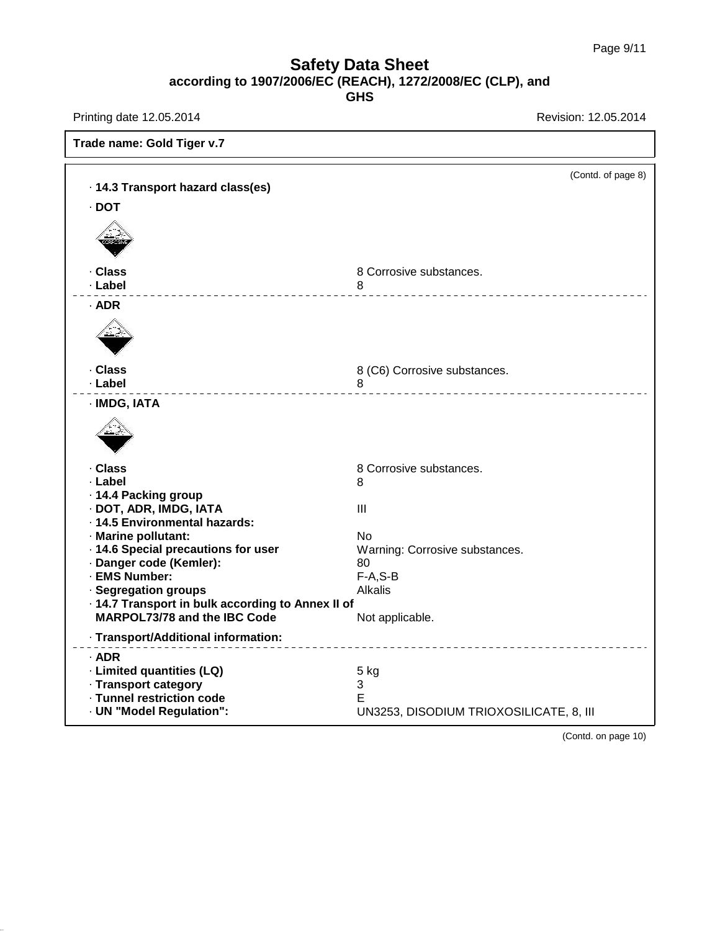Printing date 12.05.2014 **Revision: 12.05.2014** 

38.0.33

| Trade name: Gold Tiger v.7                                                               |                                         |  |  |  |
|------------------------------------------------------------------------------------------|-----------------------------------------|--|--|--|
| · 14.3 Transport hazard class(es)                                                        | (Contd. of page 8)                      |  |  |  |
|                                                                                          |                                         |  |  |  |
| $\cdot$ DOT                                                                              |                                         |  |  |  |
|                                                                                          |                                         |  |  |  |
| · Class                                                                                  | 8 Corrosive substances.                 |  |  |  |
| · Label                                                                                  | 8<br>________________________________   |  |  |  |
| · ADR                                                                                    |                                         |  |  |  |
|                                                                                          |                                         |  |  |  |
| · Class                                                                                  | 8 (C6) Corrosive substances.            |  |  |  |
| · Label<br>_____________________                                                         | 8<br>________________________           |  |  |  |
| · IMDG, IATA                                                                             |                                         |  |  |  |
|                                                                                          |                                         |  |  |  |
| · Class                                                                                  | 8 Corrosive substances.                 |  |  |  |
| · Label                                                                                  | 8                                       |  |  |  |
| · 14.4 Packing group                                                                     |                                         |  |  |  |
| · DOT, ADR, IMDG, IATA                                                                   | III                                     |  |  |  |
| · 14.5 Environmental hazards:                                                            |                                         |  |  |  |
| · Marine pollutant:                                                                      | No                                      |  |  |  |
| · 14.6 Special precautions for user                                                      | Warning: Corrosive substances.          |  |  |  |
| · Danger code (Kemler):                                                                  | 80                                      |  |  |  |
| · EMS Number:                                                                            | $F-A, S-B$                              |  |  |  |
| · Segregation groups                                                                     | <b>Alkalis</b>                          |  |  |  |
| · 14.7 Transport in bulk according to Annex II of<br><b>MARPOL73/78 and the IBC Code</b> |                                         |  |  |  |
|                                                                                          | Not applicable.                         |  |  |  |
| · Transport/Additional information:<br>________________________________                  |                                         |  |  |  |
| · ADR                                                                                    |                                         |  |  |  |
| · Limited quantities (LQ)                                                                | 5 kg                                    |  |  |  |
| · Transport category                                                                     | 3                                       |  |  |  |
| · Tunnel restriction code                                                                | Е                                       |  |  |  |
| · UN "Model Regulation":                                                                 | UN3253, DISODIUM TRIOXOSILICATE, 8, III |  |  |  |

(Contd. on page 10)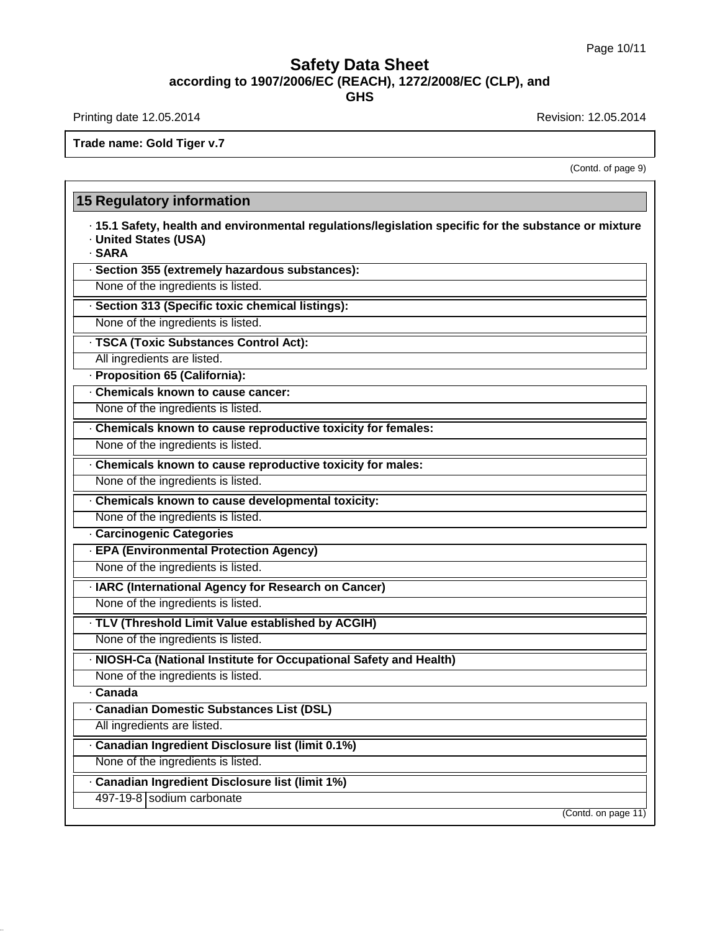Printing date 12.05.2014 **Revision: 12.05.2014** Revision: 12.05.2014

38.0.33

**Trade name: Gold Tiger v.7**

(Contd. of page 9)

# **15 Regulatory information** · **15.1 Safety, health and environmental regulations/legislation specific for the substance ormixture** · **United States (USA)** · **SARA** · **Section 355 (extremely hazardous substances):** None of the ingredients is listed. · **Section 313 (Specific toxic chemical listings):** None of the ingredients is listed. · **TSCA (Toxic Substances Control Act):** All ingredients are listed. · **Proposition 65 (California):** · **Chemicals known to cause cancer:** None of the ingredients is listed. · **Chemicals known to cause reproductive toxicity for females:** None of the ingredients is listed. · **Chemicals known to cause reproductive toxicity for males:** None of the ingredients is listed. · **Chemicals known to cause developmental toxicity:** None of the ingredients is listed. · **Carcinogenic Categories** · **EPA (Environmental Protection Agency)** None of the ingredients is listed. · **IARC (International Agency for Research on Cancer)** None of the ingredients is listed. · **TLV (Threshold Limit Value established by ACGIH)** None of the ingredients is listed. · **NIOSH-Ca (National Institute for Occupational Safety and Health)** None of the ingredients is listed. · **Canada** · **Canadian Domestic Substances List (DSL)** All ingredients are listed. · **Canadian Ingredient Disclosure list (limit 0.1%)** None of the ingredients is listed. · **Canadian Ingredient Disclosure list (limit 1%)** 497-19-8 sodium carbonate (Contd. on page 11)